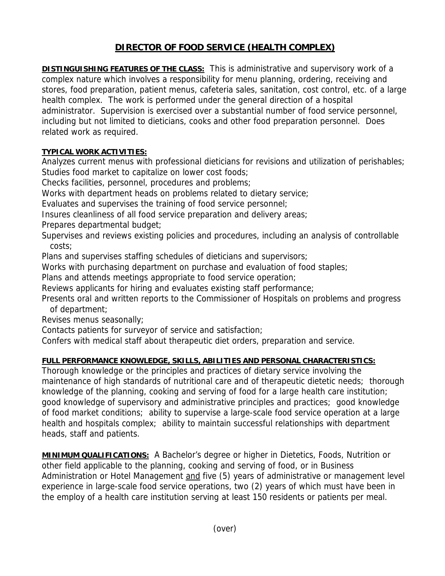## **DIRECTOR OF FOOD SERVICE (HEALTH COMPLEX)**

**DISTINGUISHING FEATURES OF THE CLASS:** This is administrative and supervisory work of a complex nature which involves a responsibility for menu planning, ordering, receiving and stores, food preparation, patient menus, cafeteria sales, sanitation, cost control, etc. of a large health complex. The work is performed under the general direction of a hospital administrator. Supervision is exercised over a substantial number of food service personnel, including but not limited to dieticians, cooks and other food preparation personnel. Does related work as required.

## **TYPICAL WORK ACTIVITIES:**

Analyzes current menus with professional dieticians for revisions and utilization of perishables; Studies food market to capitalize on lower cost foods;

Checks facilities, personnel, procedures and problems;

Works with department heads on problems related to dietary service;

Evaluates and supervises the training of food service personnel;

Insures cleanliness of all food service preparation and delivery areas;

Prepares departmental budget;

Supervises and reviews existing policies and procedures, including an analysis of controllable costs;

Plans and supervises staffing schedules of dieticians and supervisors;

Works with purchasing department on purchase and evaluation of food staples;

Plans and attends meetings appropriate to food service operation;

Reviews applicants for hiring and evaluates existing staff performance;

Presents oral and written reports to the Commissioner of Hospitals on problems and progress of department;

Revises menus seasonally;

Contacts patients for surveyor of service and satisfaction;

Confers with medical staff about therapeutic diet orders, preparation and service.

## **FULL PERFORMANCE KNOWLEDGE, SKILLS, ABILITIES AND PERSONAL CHARACTERISTICS:**

Thorough knowledge or the principles and practices of dietary service involving the maintenance of high standards of nutritional care and of therapeutic dietetic needs; thorough knowledge of the planning, cooking and serving of food for a large health care institution; good knowledge of supervisory and administrative principles and practices; good knowledge of food market conditions; ability to supervise a large-scale food service operation at a large health and hospitals complex; ability to maintain successful relationships with department heads, staff and patients.

**MINIMUM QUALIFICATIONS:** A Bachelor's degree or higher in Dietetics, Foods, Nutrition or other field applicable to the planning, cooking and serving of food, or in Business Administration or Hotel Management and five (5) years of administrative or management level experience in large-scale food service operations, two (2) years of which must have been in the employ of a health care institution serving at least 150 residents or patients per meal.